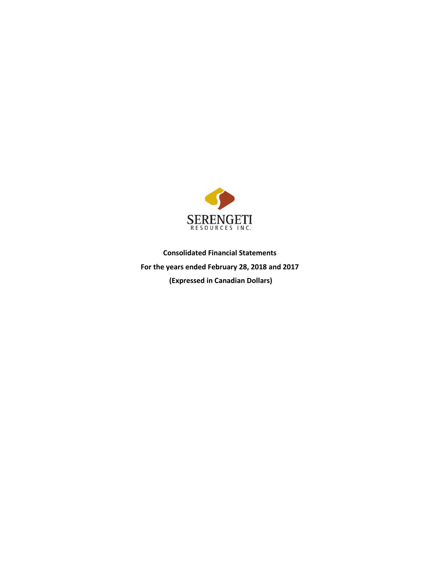

**Consolidated Financial Statements For the years ended February 28, 2018 and 2017 (Expressed in Canadian Dollars)**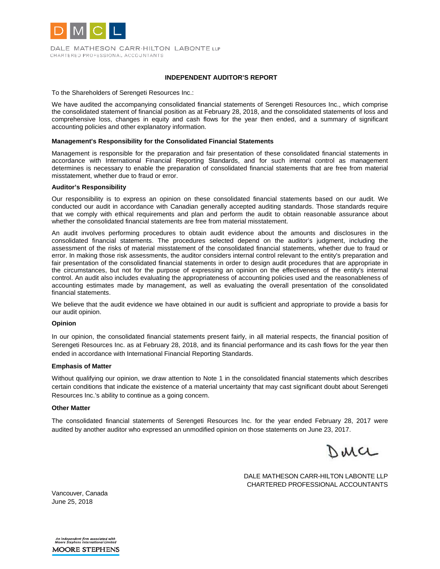

DALE MATHESON CARR-HILTON LABONTE LLP CHARTERED PROFESSIONAL ACCOUNTANTS

### **INDEPENDENT AUDITOR'S REPORT**

To the Shareholders of Serengeti Resources Inc.:

We have audited the accompanying consolidated financial statements of Serengeti Resources Inc., which comprise the consolidated statement of financial position as at February 28, 2018, and the consolidated statements of loss and comprehensive loss, changes in equity and cash flows for the year then ended, and a summary of significant accounting policies and other explanatory information.

#### **Management's Responsibility for the Consolidated Financial Statements**

Management is responsible for the preparation and fair presentation of these consolidated financial statements in accordance with International Financial Reporting Standards, and for such internal control as management determines is necessary to enable the preparation of consolidated financial statements that are free from material misstatement, whether due to fraud or error.

#### **Auditor's Responsibility**

Our responsibility is to express an opinion on these consolidated financial statements based on our audit. We conducted our audit in accordance with Canadian generally accepted auditing standards. Those standards require that we comply with ethical requirements and plan and perform the audit to obtain reasonable assurance about whether the consolidated financial statements are free from material misstatement.

An audit involves performing procedures to obtain audit evidence about the amounts and disclosures in the consolidated financial statements. The procedures selected depend on the auditor's judgment, including the assessment of the risks of material misstatement of the consolidated financial statements, whether due to fraud or error. In making those risk assessments, the auditor considers internal control relevant to the entity's preparation and fair presentation of the consolidated financial statements in order to design audit procedures that are appropriate in the circumstances, but not for the purpose of expressing an opinion on the effectiveness of the entity's internal control. An audit also includes evaluating the appropriateness of accounting policies used and the reasonableness of accounting estimates made by management, as well as evaluating the overall presentation of the consolidated financial statements.

We believe that the audit evidence we have obtained in our audit is sufficient and appropriate to provide a basis for our audit opinion.

#### **Opinion**

In our opinion, the consolidated financial statements present fairly, in all material respects, the financial position of Serengeti Resources Inc. as at February 28, 2018, and its financial performance and its cash flows for the year then ended in accordance with International Financial Reporting Standards.

#### **Emphasis of Matter**

Without qualifying our opinion, we draw attention to Note 1 in the consolidated financial statements which describes certain conditions that indicate the existence of a material uncertainty that may cast significant doubt about Serengeti Resources Inc.'s ability to continue as a going concern.

### **Other Matter**

The consolidated financial statements of Serengeti Resources Inc. for the year ended February 28, 2017 were audited by another auditor who expressed an unmodified opinion on those statements on June 23, 2017.

Derce

DALE MATHESON CARR-HILTON LABONTE LLP CHARTERED PROFESSIONAL ACCOUNTANTS

Vancouver, Canada June 25, 2018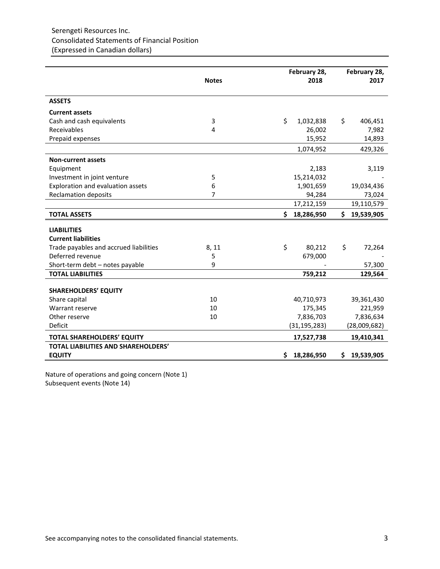|                                        |              |                  | February 28, |    |              |
|----------------------------------------|--------------|------------------|--------------|----|--------------|
|                                        | <b>Notes</b> |                  | 2018         |    | 2017         |
|                                        |              |                  |              |    |              |
| <b>ASSETS</b>                          |              |                  |              |    |              |
| <b>Current assets</b>                  |              |                  |              |    |              |
| Cash and cash equivalents              | 3            | \$               | 1,032,838    | \$ | 406,451      |
| Receivables                            | 4            |                  | 26,002       |    | 7,982        |
| Prepaid expenses                       |              |                  | 15,952       |    | 14,893       |
|                                        |              |                  | 1,074,952    |    | 429,326      |
| <b>Non-current assets</b>              |              |                  |              |    |              |
| Equipment                              |              |                  | 2,183        |    | 3,119        |
| Investment in joint venture            | 5            | 15,214,032       |              |    |              |
| Exploration and evaluation assets      | 6            |                  | 1,901,659    |    | 19,034,436   |
| <b>Reclamation deposits</b>            | 7            |                  | 94,284       |    | 73,024       |
|                                        |              | 17,212,159       |              |    | 19,110,579   |
| <b>TOTAL ASSETS</b>                    |              | Ś.<br>18,286,950 |              | Ś. | 19,539,905   |
| <b>LIABILITIES</b>                     |              |                  |              |    |              |
| <b>Current liabilities</b>             |              |                  |              |    |              |
| Trade payables and accrued liabilities | 8, 11        | \$               | 80,212       | \$ | 72,264       |
| Deferred revenue                       | 5            |                  | 679,000      |    |              |
| Short-term debt - notes payable        | 9            |                  |              |    | 57,300       |
| <b>TOTAL LIABILITIES</b>               |              |                  | 759,212      |    | 129,564      |
|                                        |              |                  |              |    |              |
| <b>SHAREHOLDERS' EQUITY</b>            |              |                  |              |    |              |
| Share capital                          | 10           | 40,710,973       |              |    | 39,361,430   |
| Warrant reserve                        | 10           |                  | 175,345      |    | 221,959      |
| Other reserve                          | 10           |                  | 7,836,703    |    | 7,836,634    |
| Deficit                                |              | (31, 195, 283)   |              |    | (28,009,682) |
| <b>TOTAL SHAREHOLDERS' EQUITY</b>      |              | 17,527,738       |              |    | 19,410,341   |
| TOTAL LIABILITIES AND SHAREHOLDERS'    |              |                  |              |    |              |
| <b>EQUITY</b>                          |              | 18,286,950<br>\$ |              | \$ | 19,539,905   |

Nature of operations and going concern (Note 1) Subsequent events (Note 14)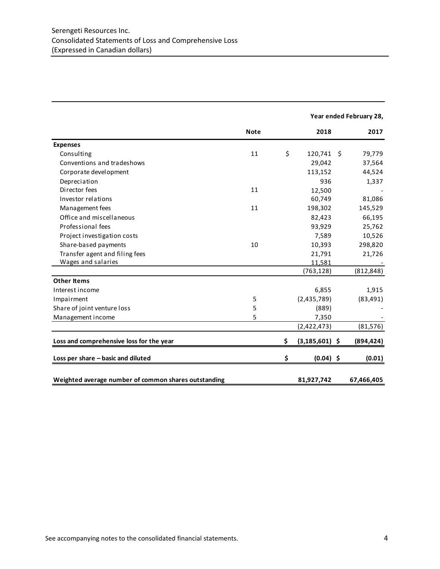|                                                      |             |                          | Year ended February 28, |
|------------------------------------------------------|-------------|--------------------------|-------------------------|
|                                                      | <b>Note</b> | 2018                     | 2017                    |
| <b>Expenses</b>                                      |             |                          |                         |
| Consulting                                           | 11          | \$<br>$120,741$ \$       | 79,779                  |
| Conventions and tradeshows                           |             | 29,042                   | 37,564                  |
| Corporate development                                |             | 113,152                  | 44,524                  |
| Depreciation                                         |             | 936                      | 1,337                   |
| Director fees                                        | 11          | 12,500                   |                         |
| Investor relations                                   |             | 60,749                   | 81,086                  |
| Management fees                                      | 11          | 198,302                  | 145,529                 |
| Office and miscellaneous                             |             | 82,423                   | 66,195                  |
| Professional fees                                    |             | 93,929                   | 25,762                  |
| Project investigation costs                          |             | 7,589                    | 10,526                  |
| Share-based payments                                 | 10          | 10,393                   | 298,820                 |
| Transfer agent and filing fees                       |             | 21,791                   | 21,726                  |
| Wages and salaries                                   |             | 11,581                   |                         |
|                                                      |             | (763, 128)               | (812, 848)              |
| <b>Other Items</b>                                   |             |                          |                         |
| Interest income                                      |             | 6,855                    | 1,915                   |
| Impairment                                           | 5           | (2,435,789)              | (83, 491)               |
| Share of joint venture loss                          | 5           | (889)                    |                         |
| Management income                                    | 5           | 7,350                    |                         |
|                                                      |             | (2,422,473)              | (81, 576)               |
| Loss and comprehensive loss for the year             |             | \$<br>$(3, 185, 601)$ \$ | (894, 424)              |
| Loss per share - basic and diluted                   |             | \$<br>$(0.04)$ \$        | (0.01)                  |
| Weighted average number of common shares outstanding |             | 81,927,742               | 67,466,405              |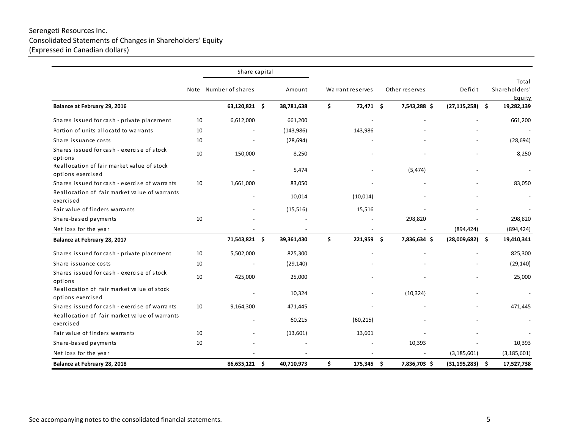# Serengeti Resources Inc. Consolidated Statements of Changes in Shareholders' Equity (Expressed in Canadian dollars)

|                                                                 |    | Share capital         |            |                    |                |                     |                                  |
|-----------------------------------------------------------------|----|-----------------------|------------|--------------------|----------------|---------------------|----------------------------------|
|                                                                 |    | Note Number of shares | Amount     | Warrant reserves   | Other reserves | Deficit             | Total<br>Shareholders'<br>Equity |
| Balance at February 29, 2016                                    |    | 63,120,821 \$         | 38,781,638 | \$<br>72,471 \$    | 7,543,288 \$   | $(27, 115, 258)$ \$ | 19,282,139                       |
| Shares issued for cash - private placement                      | 10 | 6,612,000             | 661,200    |                    |                |                     | 661,200                          |
| Portion of units allocatd to warrants                           | 10 |                       | (143, 986) | 143,986            |                |                     |                                  |
| Share issuance costs                                            | 10 |                       | (28, 694)  |                    |                |                     | (28, 694)                        |
| Shares issued for cash - exercise of stock<br>options           | 10 | 150,000               | 8,250      |                    |                |                     | 8,250                            |
| Reallocation of fair market value of stock<br>options exercised |    |                       | 5,474      |                    | (5, 474)       |                     |                                  |
| Shares issued for cash - exercise of warrants                   | 10 | 1,661,000             | 83,050     |                    |                |                     | 83,050                           |
| Reallocation of fair market value of warrants<br>exercised      |    |                       | 10,014     | (10, 014)          |                |                     |                                  |
| Fair value of finders warrants                                  |    |                       | (15, 516)  | 15,516             |                |                     |                                  |
| Share-based payments                                            | 10 |                       |            |                    | 298,820        |                     | 298,820                          |
| Net loss for the year                                           |    |                       |            |                    |                | (894, 424)          | (894, 424)                       |
| Balance at February 28, 2017                                    |    | 71,543,821 \$         | 39,361,430 | \$<br>221,959 \$   | 7,836,634 \$   | $(28,009,682)$ \$   | 19,410,341                       |
| Shares issued for cash - private placement                      | 10 | 5,502,000             | 825,300    |                    |                |                     | 825,300                          |
| Share issuance costs                                            | 10 |                       | (29, 140)  |                    |                |                     | (29, 140)                        |
| Shares issued for cash - exercise of stock<br>options           | 10 | 425,000               | 25,000     |                    |                |                     | 25,000                           |
| Reallocation of fair market value of stock<br>options exercised |    |                       | 10,324     |                    | (10, 324)      |                     |                                  |
| Shares issued for cash - exercise of warrants                   | 10 | 9,164,300             | 471,445    |                    |                |                     | 471,445                          |
| Reallocation of fair market value of warrants<br>exercised      |    |                       | 60,215     | (60, 215)          |                |                     |                                  |
| Fair value of finders warrants                                  | 10 |                       | (13,601)   | 13,601             |                |                     |                                  |
| Share-based payments                                            | 10 |                       |            |                    | 10,393         |                     | 10,393                           |
| Net loss for the year                                           |    |                       |            |                    |                | (3, 185, 601)       | (3, 185, 601)                    |
| Balance at February 28, 2018                                    |    | 86,635,121 \$         | 40,710,973 | \$<br>$175,345$ \$ | 7,836,703 \$   | $(31, 195, 283)$ \$ | 17,527,738                       |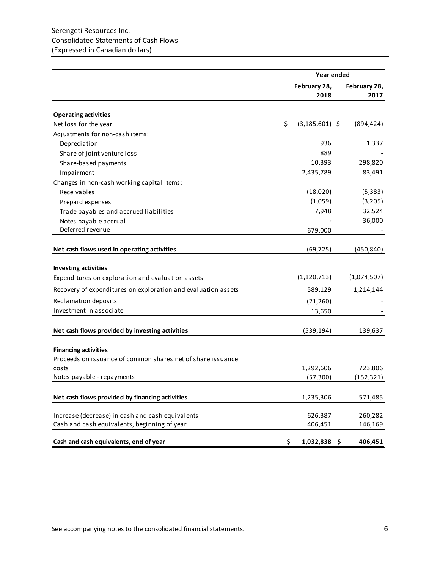|                                                                                                  | Year ended               |                      |  |  |
|--------------------------------------------------------------------------------------------------|--------------------------|----------------------|--|--|
|                                                                                                  | February 28,<br>2018     | February 28,<br>2017 |  |  |
| <b>Operating activities</b>                                                                      |                          |                      |  |  |
| Net loss for the year                                                                            | \$<br>$(3, 185, 601)$ \$ | (894, 424)           |  |  |
| Adjustments for non-cash items:                                                                  |                          |                      |  |  |
| Depreciation                                                                                     | 936                      | 1,337                |  |  |
| Share of joint venture loss                                                                      | 889                      |                      |  |  |
| Share-based payments                                                                             | 10,393                   | 298,820              |  |  |
|                                                                                                  | 2,435,789                | 83,491               |  |  |
| Impairment                                                                                       |                          |                      |  |  |
| Changes in non-cash working capital items:                                                       |                          |                      |  |  |
| Receivables                                                                                      | (18,020)                 | (5, 383)             |  |  |
| Prepaid expenses                                                                                 | (1,059)                  | (3,205)              |  |  |
| Trade payables and accrued liabilities                                                           | 7,948                    | 32,524               |  |  |
| Notes payable accrual                                                                            |                          | 36,000               |  |  |
| Deferred revenue                                                                                 | 679,000                  |                      |  |  |
| Net cash flows used in operating activities                                                      | (69, 725)                | (450, 840)           |  |  |
| <b>Investing activities</b>                                                                      |                          |                      |  |  |
| Expenditures on exploration and evaluation assets                                                | (1, 120, 713)            | (1,074,507)          |  |  |
| Recovery of expenditures on exploration and evaluation assets                                    | 589,129                  | 1,214,144            |  |  |
| Reclamation deposits                                                                             | (21, 260)                |                      |  |  |
| Investment in associate                                                                          | 13,650                   |                      |  |  |
|                                                                                                  |                          |                      |  |  |
| Net cash flows provided by investing activities                                                  | (539, 194)               | 139,637              |  |  |
| <b>Financing activities</b>                                                                      |                          |                      |  |  |
| Proceeds on issuance of common shares net of share issuance                                      |                          |                      |  |  |
| costs                                                                                            | 1,292,606                | 723,806              |  |  |
| Notes payable - repayments                                                                       | (57, 300)                | (152, 321)           |  |  |
|                                                                                                  |                          |                      |  |  |
| Net cash flows provided by financing activities                                                  | 1,235,306                | 571,485              |  |  |
|                                                                                                  |                          |                      |  |  |
| Increase (decrease) in cash and cash equivalents<br>Cash and cash equivalents, beginning of year | 626,387<br>406,451       | 260,282<br>146,169   |  |  |
|                                                                                                  |                          |                      |  |  |
| Cash and cash equivalents, end of year                                                           | \$<br>1,032,838 \$       | 406,451              |  |  |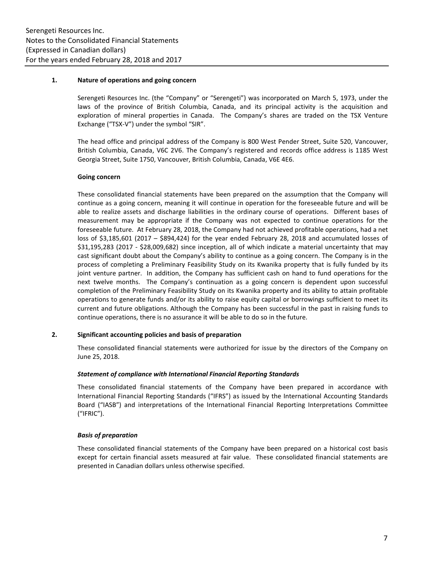### **1. Nature of operations and going concern**

Serengeti Resources Inc. (the "Company" or "Serengeti") was incorporated on March 5, 1973, under the laws of the province of British Columbia, Canada, and its principal activity is the acquisition and exploration of mineral properties in Canada. The Company's shares are traded on the TSX Venture Exchange ("TSX-V") under the symbol "SIR".

The head office and principal address of the Company is 800 West Pender Street, Suite 520, Vancouver, British Columbia, Canada, V6C 2V6. The Company's registered and records office address is 1185 West Georgia Street, Suite 1750, Vancouver, British Columbia, Canada, V6E 4E6.

# **Going concern**

These consolidated financial statements have been prepared on the assumption that the Company will continue as a going concern, meaning it will continue in operation for the foreseeable future and will be able to realize assets and discharge liabilities in the ordinary course of operations. Different bases of measurement may be appropriate if the Company was not expected to continue operations for the foreseeable future. At February 28, 2018, the Company had not achieved profitable operations, had a net loss of \$3,185,601 (2017 – \$894,424) for the year ended February 28, 2018 and accumulated losses of \$31,195,283 (2017 - \$28,009,682) since inception, all of which indicate a material uncertainty that may cast significant doubt about the Company's ability to continue as a going concern. The Company is in the process of completing a Preliminary Feasibility Study on its Kwanika property that is fully funded by its joint venture partner. In addition, the Company has sufficient cash on hand to fund operations for the next twelve months. The Company's continuation as a going concern is dependent upon successful completion of the Preliminary Feasibility Study on its Kwanika property and its ability to attain profitable operations to generate funds and/or its ability to raise equity capital or borrowings sufficient to meet its current and future obligations. Although the Company has been successful in the past in raising funds to continue operations, there is no assurance it will be able to do so in the future.

# **2. Significant accounting policies and basis of preparation**

These consolidated financial statements were authorized for issue by the directors of the Company on June 25, 2018.

### *Statement of compliance with International Financial Reporting Standards*

These consolidated financial statements of the Company have been prepared in accordance with International Financial Reporting Standards ("IFRS") as issued by the International Accounting Standards Board ("IASB") and interpretations of the International Financial Reporting Interpretations Committee ("IFRIC").

# *Basis of preparation*

These consolidated financial statements of the Company have been prepared on a historical cost basis except for certain financial assets measured at fair value. These consolidated financial statements are presented in Canadian dollars unless otherwise specified.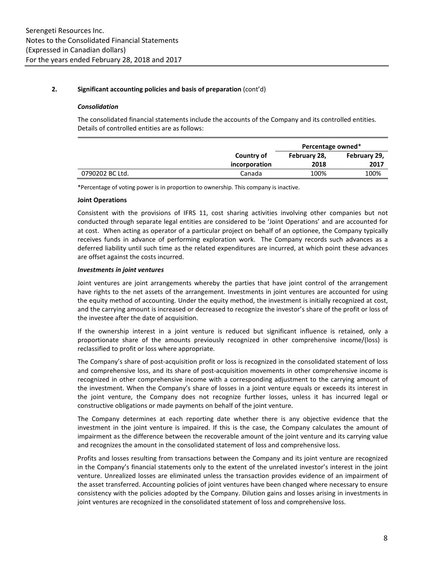### *Consolidation*

The consolidated financial statements include the accounts of the Company and its controlled entities. Details of controlled entities are as follows:

|                 |               | Percentage owned* |              |
|-----------------|---------------|-------------------|--------------|
|                 | Country of    | February 28,      | February 29, |
|                 | incorporation | 2018              | 2017         |
| 0790202 BC Ltd. | Canada        | 100%              | 100%         |

\*Percentage of voting power is in proportion to ownership. This company is inactive.

### **Joint Operations**

Consistent with the provisions of IFRS 11, cost sharing activities involving other companies but not conducted through separate legal entities are considered to be 'Joint Operations' and are accounted for at cost. When acting as operator of a particular project on behalf of an optionee, the Company typically receives funds in advance of performing exploration work. The Company records such advances as a deferred liability until such time as the related expenditures are incurred, at which point these advances are offset against the costs incurred.

### *Investments in joint ventures*

Joint ventures are joint arrangements whereby the parties that have joint control of the arrangement have rights to the net assets of the arrangement. Investments in joint ventures are accounted for using the equity method of accounting. Under the equity method, the investment is initially recognized at cost, and the carrying amount is increased or decreased to recognize the investor's share of the profit or loss of the investee after the date of acquisition.

If the ownership interest in a joint venture is reduced but significant influence is retained, only a proportionate share of the amounts previously recognized in other comprehensive income/(loss) is reclassified to profit or loss where appropriate.

The Company's share of post-acquisition profit or loss is recognized in the consolidated statement of loss and comprehensive loss, and its share of post-acquisition movements in other comprehensive income is recognized in other comprehensive income with a corresponding adjustment to the carrying amount of the investment. When the Company's share of losses in a joint venture equals or exceeds its interest in the joint venture, the Company does not recognize further losses, unless it has incurred legal or constructive obligations or made payments on behalf of the joint venture.

The Company determines at each reporting date whether there is any objective evidence that the investment in the joint venture is impaired. If this is the case, the Company calculates the amount of impairment as the difference between the recoverable amount of the joint venture and its carrying value and recognizes the amount in the consolidated statement of loss and comprehensive loss.

Profits and losses resulting from transactions between the Company and its joint venture are recognized in the Company's financial statements only to the extent of the unrelated investor's interest in the joint venture. Unrealized losses are eliminated unless the transaction provides evidence of an impairment of the asset transferred. Accounting policies of joint ventures have been changed where necessary to ensure consistency with the policies adopted by the Company. Dilution gains and losses arising in investments in joint ventures are recognized in the consolidated statement of loss and comprehensive loss.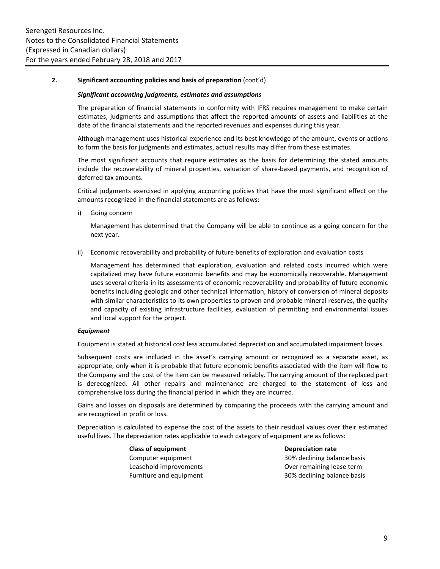### *Significant accounting judgments, estimates and assumptions*

The preparation of financial statements in conformity with IFRS requires management to make certain estimates, judgments and assumptions that affect the reported amounts of assets and liabilities at the date of the financial statements and the reported revenues and expenses during this year.

Although management uses historical experience and its best knowledge of the amount, events or actions to form the basis for judgments and estimates, actual results may differ from these estimates.

The most significant accounts that require estimates as the basis for determining the stated amounts include the recoverability of mineral properties, valuation of share-based payments, and recognition of deferred tax amounts.

Critical judgments exercised in applying accounting policies that have the most significant effect on the amounts recognized in the financial statements are as follows:

i) Going concern

Management has determined that the Company will be able to continue as a going concern for the next year.

ii) Economic recoverability and probability of future benefits of exploration and evaluation costs

Management has determined that exploration, evaluation and related costs incurred which were capitalized may have future economic benefits and may be economically recoverable. Management uses several criteria in its assessments of economic recoverability and probability of future economic benefits including geologic and other technical information, history of conversion of mineral deposits with similar characteristics to its own properties to proven and probable mineral reserves, the quality and capacity of existing infrastructure facilities, evaluation of permitting and environmental issues and local support for the project.

### *Equipment*

Equipment is stated at historical cost less accumulated depreciation and accumulated impairment losses.

Subsequent costs are included in the asset's carrying amount or recognized as a separate asset, as appropriate, only when it is probable that future economic benefits associated with the item will flow to the Company and the cost of the item can be measured reliably. The carrying amount of the replaced part is derecognized. All other repairs and maintenance are charged to the statement of loss and comprehensive loss during the financial period in which they are incurred.

Gains and losses on disposals are determined by comparing the proceeds with the carrying amount and are recognized in profit or loss.

Depreciation is calculated to expense the cost of the assets to their residual values over their estimated useful lives. The depreciation rates applicable to each category of equipment are as follows:

**Class of equipment Depreciation rate** 

Computer equipment Computer equipment Leasehold improvements **Leasehold** improvements **COVE COVER 1998** Over remaining lease term Furniture and equipment 130% declining balance basis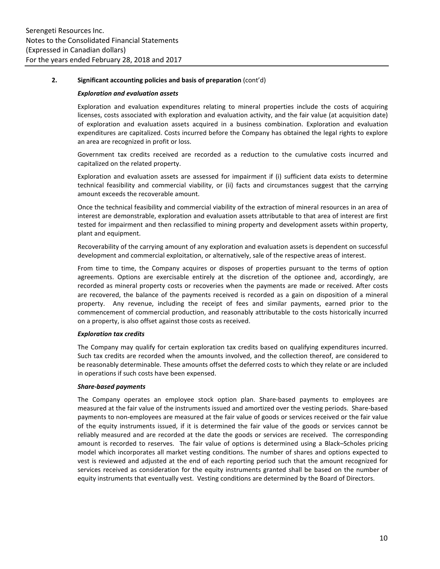### *Exploration and evaluation assets*

Exploration and evaluation expenditures relating to mineral properties include the costs of acquiring licenses, costs associated with exploration and evaluation activity, and the fair value (at acquisition date) of exploration and evaluation assets acquired in a business combination. Exploration and evaluation expenditures are capitalized. Costs incurred before the Company has obtained the legal rights to explore an area are recognized in profit or loss.

Government tax credits received are recorded as a reduction to the cumulative costs incurred and capitalized on the related property.

Exploration and evaluation assets are assessed for impairment if (i) sufficient data exists to determine technical feasibility and commercial viability, or (ii) facts and circumstances suggest that the carrying amount exceeds the recoverable amount.

Once the technical feasibility and commercial viability of the extraction of mineral resources in an area of interest are demonstrable, exploration and evaluation assets attributable to that area of interest are first tested for impairment and then reclassified to mining property and development assets within property, plant and equipment.

Recoverability of the carrying amount of any exploration and evaluation assets is dependent on successful development and commercial exploitation, or alternatively, sale of the respective areas of interest.

From time to time, the Company acquires or disposes of properties pursuant to the terms of option agreements. Options are exercisable entirely at the discretion of the optionee and, accordingly, are recorded as mineral property costs or recoveries when the payments are made or received. After costs are recovered, the balance of the payments received is recorded as a gain on disposition of a mineral property. Any revenue, including the receipt of fees and similar payments, earned prior to the commencement of commercial production, and reasonably attributable to the costs historically incurred on a property, is also offset against those costs as received.

### *Exploration tax credits*

The Company may qualify for certain exploration tax credits based on qualifying expenditures incurred. Such tax credits are recorded when the amounts involved, and the collection thereof, are considered to be reasonably determinable. These amounts offset the deferred costs to which they relate or are included in operations if such costs have been expensed.

### *Share-based payments*

The Company operates an employee stock option plan. Share-based payments to employees are measured at the fair value of the instruments issued and amortized over the vesting periods. Share-based payments to non-employees are measured at the fair value of goods or services received or the fair value of the equity instruments issued, if it is determined the fair value of the goods or services cannot be reliably measured and are recorded at the date the goods or services are received. The corresponding amount is recorded to reserves. The fair value of options is determined using a Black–Scholes pricing model which incorporates all market vesting conditions. The number of shares and options expected to vest is reviewed and adjusted at the end of each reporting period such that the amount recognized for services received as consideration for the equity instruments granted shall be based on the number of equity instruments that eventually vest. Vesting conditions are determined by the Board of Directors.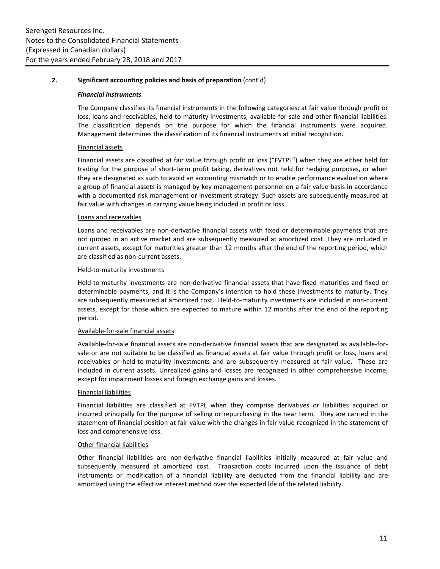#### *Financial instruments*

The Company classifies its financial instruments in the following categories: at fair value through profit or loss, loans and receivables, held-to-maturity investments, available-for-sale and other financial liabilities. The classification depends on the purpose for which the financial instruments were acquired. Management determines the classification of its financial instruments at initial recognition.

### Financial assets

Financial assets are classified at fair value through profit or loss ("FVTPL") when they are either held for trading for the purpose of short-term profit taking, derivatives not held for hedging purposes, or when they are designated as such to avoid an accounting mismatch or to enable performance evaluation where a group of financial assets is managed by key management personnel on a fair value basis in accordance with a documented risk management or investment strategy. Such assets are subsequently measured at fair value with changes in carrying value being included in profit or loss.

### Loans and receivables

Loans and receivables are non-derivative financial assets with fixed or determinable payments that are not quoted in an active market and are subsequently measured at amortized cost. They are included in current assets, except for maturities greater than 12 months after the end of the reporting period, which are classified as non-current assets.

### Held-to-maturity investments

Held-to-maturity investments are non-derivative financial assets that have fixed maturities and fixed or determinable payments, and it is the Company's intention to hold these investments to maturity. They are subsequently measured at amortized cost. Held-to-maturity investments are included in non-current assets, except for those which are expected to mature within 12 months after the end of the reporting period.

### Available-for-sale financial assets

Available-for-sale financial assets are non-derivative financial assets that are designated as available-forsale or are not suitable to be classified as financial assets at fair value through profit or loss, loans and receivables or held-to-maturity investments and are subsequently measured at fair value. These are included in current assets. Unrealized gains and losses are recognized in other comprehensive income, except for impairment losses and foreign exchange gains and losses.

### Financial liabilities

Financial liabilities are classified at FVTPL when they comprise derivatives or liabilities acquired or incurred principally for the purpose of selling or repurchasing in the near term. They are carried in the statement of financial position at fair value with the changes in fair value recognized in the statement of loss and comprehensive loss.

### Other financial liabilities

Other financial liabilities are non-derivative financial liabilities initially measured at fair value and subsequently measured at amortized cost. Transaction costs incurred upon the issuance of debt instruments or modification of a financial liability are deducted from the financial liability and are amortized using the effective interest method over the expected life of the related liability.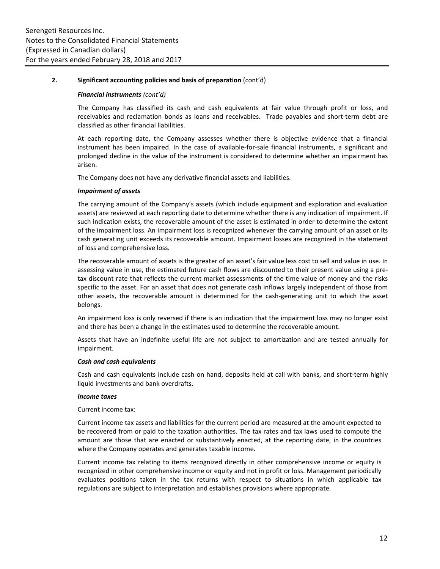### *Financial instruments (cont'd)*

The Company has classified its cash and cash equivalents at fair value through profit or loss, and receivables and reclamation bonds as loans and receivables. Trade payables and short-term debt are classified as other financial liabilities.

At each reporting date, the Company assesses whether there is objective evidence that a financial instrument has been impaired. In the case of available-for-sale financial instruments, a significant and prolonged decline in the value of the instrument is considered to determine whether an impairment has arisen.

The Company does not have any derivative financial assets and liabilities.

### *Impairment of assets*

The carrying amount of the Company's assets (which include equipment and exploration and evaluation assets) are reviewed at each reporting date to determine whether there is any indication of impairment. If such indication exists, the recoverable amount of the asset is estimated in order to determine the extent of the impairment loss. An impairment loss is recognized whenever the carrying amount of an asset or its cash generating unit exceeds its recoverable amount. Impairment losses are recognized in the statement of loss and comprehensive loss.

The recoverable amount of assets is the greater of an asset's fair value less cost to sell and value in use. In assessing value in use, the estimated future cash flows are discounted to their present value using a pretax discount rate that reflects the current market assessments of the time value of money and the risks specific to the asset. For an asset that does not generate cash inflows largely independent of those from other assets, the recoverable amount is determined for the cash-generating unit to which the asset belongs.

An impairment loss is only reversed if there is an indication that the impairment loss may no longer exist and there has been a change in the estimates used to determine the recoverable amount.

Assets that have an indefinite useful life are not subject to amortization and are tested annually for impairment.

### *Cash and cash equivalents*

Cash and cash equivalents include cash on hand, deposits held at call with banks, and short-term highly liquid investments and bank overdrafts.

### *Income taxes*

### Current income tax:

Current income tax assets and liabilities for the current period are measured at the amount expected to be recovered from or paid to the taxation authorities. The tax rates and tax laws used to compute the amount are those that are enacted or substantively enacted, at the reporting date, in the countries where the Company operates and generates taxable income.

Current income tax relating to items recognized directly in other comprehensive income or equity is recognized in other comprehensive income or equity and not in profit or loss. Management periodically evaluates positions taken in the tax returns with respect to situations in which applicable tax regulations are subject to interpretation and establishes provisions where appropriate.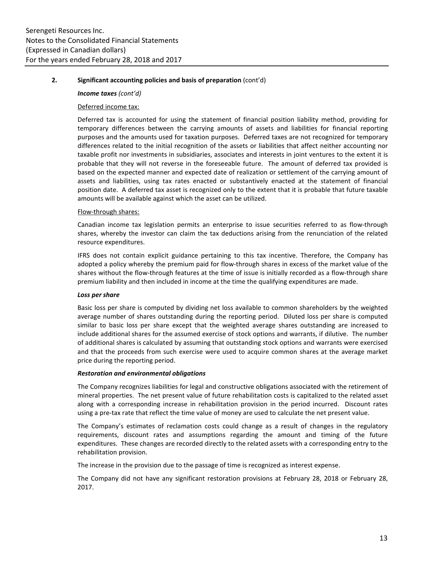### *Income taxes (cont'd)*

# Deferred income tax:

Deferred tax is accounted for using the statement of financial position liability method, providing for temporary differences between the carrying amounts of assets and liabilities for financial reporting purposes and the amounts used for taxation purposes. Deferred taxes are not recognized for temporary differences related to the initial recognition of the assets or liabilities that affect neither accounting nor taxable profit nor investments in subsidiaries, associates and interests in joint ventures to the extent it is probable that they will not reverse in the foreseeable future. The amount of deferred tax provided is based on the expected manner and expected date of realization or settlement of the carrying amount of assets and liabilities, using tax rates enacted or substantively enacted at the statement of financial position date. A deferred tax asset is recognized only to the extent that it is probable that future taxable amounts will be available against which the asset can be utilized.

### Flow-through shares:

Canadian income tax legislation permits an enterprise to issue securities referred to as flow-through shares, whereby the investor can claim the tax deductions arising from the renunciation of the related resource expenditures.

IFRS does not contain explicit guidance pertaining to this tax incentive. Therefore, the Company has adopted a policy whereby the premium paid for flow-through shares in excess of the market value of the shares without the flow-through features at the time of issue is initially recorded as a flow-through share premium liability and then included in income at the time the qualifying expenditures are made.

### *Loss per share*

Basic loss per share is computed by dividing net loss available to common shareholders by the weighted average number of shares outstanding during the reporting period. Diluted loss per share is computed similar to basic loss per share except that the weighted average shares outstanding are increased to include additional shares for the assumed exercise of stock options and warrants, if dilutive. The number of additional shares is calculated by assuming that outstanding stock options and warrants were exercised and that the proceeds from such exercise were used to acquire common shares at the average market price during the reporting period.

### *Restoration and environmental obligations*

The Company recognizes liabilities for legal and constructive obligations associated with the retirement of mineral properties. The net present value of future rehabilitation costs is capitalized to the related asset along with a corresponding increase in rehabilitation provision in the period incurred. Discount rates using a pre-tax rate that reflect the time value of money are used to calculate the net present value.

The Company's estimates of reclamation costs could change as a result of changes in the regulatory requirements, discount rates and assumptions regarding the amount and timing of the future expenditures. These changes are recorded directly to the related assets with a corresponding entry to the rehabilitation provision.

The increase in the provision due to the passage of time is recognized as interest expense.

The Company did not have any significant restoration provisions at February 28, 2018 or February 28, 2017.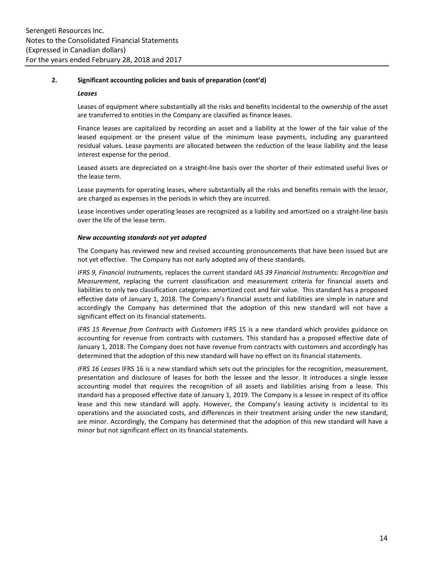#### *Leases*

Leases of equipment where substantially all the risks and benefits incidental to the ownership of the asset are transferred to entities in the Company are classified as finance leases.

Finance leases are capitalized by recording an asset and a liability at the lower of the fair value of the leased equipment or the present value of the minimum lease payments, including any guaranteed residual values. Lease payments are allocated between the reduction of the lease liability and the lease interest expense for the period.

Leased assets are depreciated on a straight-line basis over the shorter of their estimated useful lives or the lease term.

Lease payments for operating leases, where substantially all the risks and benefits remain with the lessor, are charged as expenses in the periods in which they are incurred.

Lease incentives under operating leases are recognized as a liability and amortized on a straight-line basis over the life of the lease term.

#### *New accounting standards not yet adopted*

The Company has reviewed new and revised accounting pronouncements that have been issued but are not yet effective. The Company has not early adopted any of these standards.

*IFRS 9, Financial Instruments,* replaces the current standard *IAS 39 Financial Instruments: Recognition and Measurement*, replacing the current classification and measurement criteria for financial assets and liabilities to only two classification categories: amortized cost and fair value. This standard has a proposed effective date of January 1, 2018. The Company's financial assets and liabilities are simple in nature and accordingly the Company has determined that the adoption of this new standard will not have a significant effect on its financial statements.

*IFRS 15 Revenue from Contracts with Customers* IFRS 15 is a new standard which provides guidance on accounting for revenue from contracts with customers. This standard has a proposed effective date of January 1, 2018. The Company does not have revenue from contracts with customers and accordingly has determined that the adoption of this new standard will have no effect on its financial statements.

*IFRS 16 Leases* IFRS 16 is a new standard which sets out the principles for the recognition, measurement, presentation and disclosure of leases for both the lessee and the lessor. It introduces a single lessee accounting model that requires the recognition of all assets and liabilities arising from a lease. This standard has a proposed effective date of January 1, 2019. The Company is a lessee in respect of its office lease and this new standard will apply. However, the Company's leasing activity is incidental to its operations and the associated costs, and differences in their treatment arising under the new standard, are minor. Accordingly, the Company has determined that the adoption of this new standard will have a minor but not significant effect on its financial statements.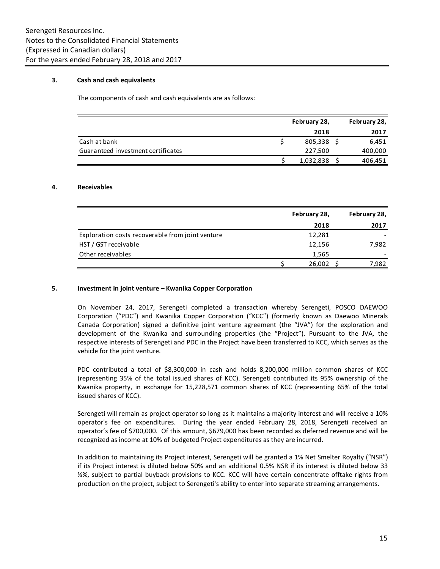### **3. Cash and cash equivalents**

The components of cash and cash equivalents are as follows:

|                                    | February 28, | February 28, |
|------------------------------------|--------------|--------------|
|                                    | 2018         | 2017         |
| Cash at bank                       | 805,338      | 6,451        |
| Guaranteed investment certificates | 227,500      | 400,000      |
|                                    | 1,032,838    | 406,451      |

### **4. Receivables**

|                                                  | February 28, | February 28, |
|--------------------------------------------------|--------------|--------------|
|                                                  | 2018         | 2017         |
| Exploration costs recoverable from joint venture | 12,281       |              |
| HST / GST receivable                             | 12,156       | 7,982        |
| Other receivables                                | 1.565        |              |
|                                                  | 26,002       | 7,982        |

### **5. Investment in joint venture – Kwanika Copper Corporation**

On November 24, 2017, Serengeti completed a transaction whereby Serengeti, POSCO DAEWOO Corporation ("PDC") and Kwanika Copper Corporation ("KCC") (formerly known as Daewoo Minerals Canada Corporation) signed a definitive joint venture agreement (the "JVA") for the exploration and development of the Kwanika and surrounding properties (the "Project"). Pursuant to the JVA, the respective interests of Serengeti and PDC in the Project have been transferred to KCC, which serves as the vehicle for the joint venture.

PDC contributed a total of \$8,300,000 in cash and holds 8,200,000 million common shares of KCC (representing 35% of the total issued shares of KCC). Serengeti contributed its 95% ownership of the Kwanika property, in exchange for 15,228,571 common shares of KCC (representing 65% of the total issued shares of KCC).

Serengeti will remain as project operator so long as it maintains a majority interest and will receive a 10% operator's fee on expenditures. During the year ended February 28, 2018, Serengeti received an operator's fee of \$700,000. Of this amount, \$679,000 has been recorded as deferred revenue and will be recognized as income at 10% of budgeted Project expenditures as they are incurred.

In addition to maintaining its Project interest, Serengeti will be granted a 1% Net Smelter Royalty ("NSR") if its Project interest is diluted below 50% and an additional 0.5% NSR if its interest is diluted below 33 ⅓%, subject to partial buyback provisions to KCC. KCC will have certain concentrate offtake rights from production on the project, subject to Serengeti's ability to enter into separate streaming arrangements.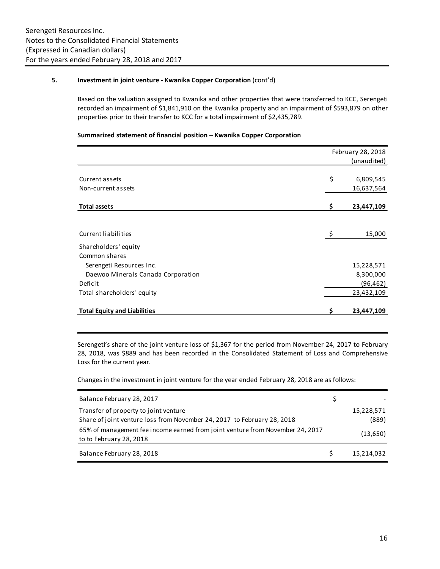# **5. Investment in joint venture - Kwanika Copper Corporation** (cont'd)

Based on the valuation assigned to Kwanika and other properties that were transferred to KCC, Serengeti recorded an impairment of \$1,841,910 on the Kwanika property and an impairment of \$593,879 on other properties prior to their transfer to KCC for a total impairment of \$2,435,789.

### **Summarized statement of financial position – Kwanika Copper Corporation**

|                                     | February 28, 2018 |             |  |  |
|-------------------------------------|-------------------|-------------|--|--|
|                                     |                   | (unaudited) |  |  |
|                                     |                   |             |  |  |
| Current assets                      | \$                | 6,809,545   |  |  |
| Non-current assets                  |                   | 16,637,564  |  |  |
|                                     |                   |             |  |  |
| <b>Total assets</b>                 | \$                | 23,447,109  |  |  |
|                                     |                   |             |  |  |
|                                     |                   |             |  |  |
| Current liabilities                 | -\$               | 15,000      |  |  |
| Shareholders' equity                |                   |             |  |  |
| Common shares                       |                   |             |  |  |
| Serengeti Resources Inc.            |                   | 15,228,571  |  |  |
| Daewoo Minerals Canada Corporation  |                   | 8,300,000   |  |  |
| Deficit                             |                   | (96, 462)   |  |  |
| Total shareholders' equity          |                   | 23,432,109  |  |  |
|                                     |                   |             |  |  |
| <b>Total Equity and Liabilities</b> | \$                | 23,447,109  |  |  |
|                                     |                   |             |  |  |

Serengeti's share of the joint venture loss of \$1,367 for the period from November 24, 2017 to February 28, 2018, was \$889 and has been recorded in the Consolidated Statement of Loss and Comprehensive Loss for the current year.

Changes in the investment in joint venture for the year ended February 28, 2018 are as follows:

| Balance February 28, 2017                                                     | S |            |
|-------------------------------------------------------------------------------|---|------------|
| Transfer of property to joint venture                                         |   | 15,228,571 |
| Share of joint venture loss from November 24, 2017 to February 28, 2018       |   | (889)      |
| 65% of management fee income earned from joint venture from November 24, 2017 |   | (13,650)   |
| to to February 28, 2018                                                       |   |            |
| Balance February 28, 2018                                                     |   | 15.214.032 |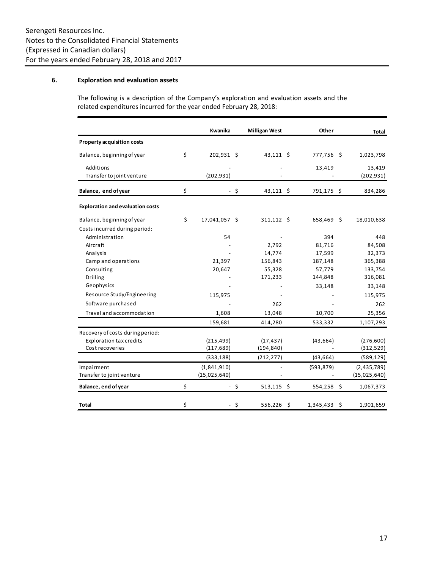# **6. Exploration and evaluation assets**

The following is a description of the Company's exploration and evaluation assets and the related expenditures incurred for the year ended February 28, 2018:

|                                         | Kwanika             |      | <b>Milligan West</b> | Other          | <b>Total</b>         |
|-----------------------------------------|---------------------|------|----------------------|----------------|----------------------|
| <b>Property acquisition costs</b>       |                     |      |                      |                |                      |
| Balance, beginning of year              | \$<br>202,931 \$    |      | 43,111 \$            | 777,756 \$     | 1,023,798            |
| Additions<br>Transfer to joint venture  | (202, 931)          |      |                      | 13,419         | 13,419<br>(202, 931) |
| Balance, end of year                    | \$                  | - \$ | $43,111$ \$          | 791,175 \$     | 834,286              |
| <b>Exploration and evaluation costs</b> |                     |      |                      |                |                      |
| Balance, beginning of year              | \$<br>17,041,057 \$ |      | 311,112 \$           | 658,469 \$     | 18,010,638           |
| Costs incurred during period:           |                     |      |                      |                |                      |
| Administration                          | 54                  |      |                      | 394            | 448                  |
| Aircraft                                |                     |      | 2,792                | 81,716         | 84,508               |
| Analysis                                |                     |      | 14,774               | 17,599         | 32,373               |
| Camp and operations                     | 21,397              |      | 156,843              | 187,148        | 365,388              |
| Consulting                              | 20,647              |      | 55,328               | 57,779         | 133,754              |
| Drilling                                |                     |      | 171,233              | 144,848        | 316,081              |
| Geophysics                              |                     |      |                      | 33,148         | 33,148               |
| Resource Study/Engineering              | 115,975             |      |                      |                | 115,975              |
| Software purchased                      |                     |      | 262                  |                | 262                  |
| Travel and accommodation                | 1,608               |      | 13,048               | 10,700         | 25,356               |
|                                         | 159,681             |      | 414,280              | 533,332        | 1,107,293            |
| Recovery of costs during period:        |                     |      |                      |                |                      |
| <b>Exploration tax credits</b>          | (215, 499)          |      | (17, 437)            | (43, 664)      | (276, 600)           |
| Cost recoveries                         | (117, 689)          |      | (194, 840)           |                | (312, 529)           |
|                                         | (333, 188)          |      | (212, 277)           | (43, 664)      | (589, 129)           |
| Impairment                              | (1,841,910)         |      |                      | (593, 879)     | (2,435,789)          |
| Transfer to joint venture               | (15,025,640)        |      |                      |                | (15,025,640)         |
| Balance, end of year                    | \$                  | - \$ | $513,115$ \$         | $554,258$ \$   | 1,067,373            |
| <b>Total</b>                            | \$                  | \$   | $556,226$ \$         | $1,345,433$ \$ | 1,901,659            |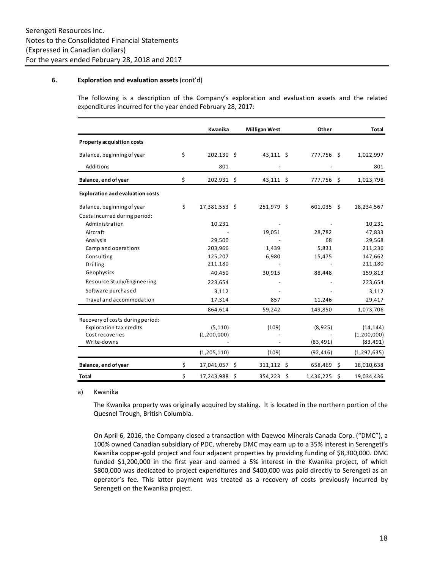### **6. Exploration and evaluation assets** (cont'd)

The following is a description of the Company's exploration and evaluation assets and the related expenditures incurred for the year ended February 28, 2017:

|                                         | Kwanika             | <b>Milligan West</b> |    | Other      |      | Total         |
|-----------------------------------------|---------------------|----------------------|----|------------|------|---------------|
| <b>Property acquisition costs</b>       |                     |                      |    |            |      |               |
| Balance, beginning of year              | \$<br>202,130 \$    | 43,111 \$            |    | 777,756 \$ |      | 1,022,997     |
| Additions                               | 801                 |                      |    |            |      | 801           |
| Balance, end of year                    | \$<br>202,931 \$    | $43,111$ \$          |    | 777,756 \$ |      | 1,023,798     |
| <b>Exploration and evaluation costs</b> |                     |                      |    |            |      |               |
| Balance, beginning of year              | \$<br>17,381,553 \$ | 251,979 \$           |    | 601,035 \$ |      | 18,234,567    |
| Costs incurred during period:           |                     |                      |    |            |      |               |
| Administration                          | 10,231              |                      |    |            |      | 10,231        |
| Aircraft                                |                     | 19,051               |    | 28,782     |      | 47,833        |
| Analysis                                | 29,500              |                      |    | 68         |      | 29,568        |
| Camp and operations                     | 203,966             | 1,439                |    | 5,831      |      | 211,236       |
| Consulting                              | 125,207             | 6,980                |    | 15,475     |      | 147,662       |
| <b>Drilling</b>                         | 211,180             |                      |    |            |      | 211,180       |
| Geophysics                              | 40,450              | 30,915               |    | 88,448     |      | 159,813       |
| Resource Study/Engineering              | 223,654             |                      |    |            |      | 223,654       |
| Software purchased                      | 3,112               |                      |    |            |      | 3,112         |
| Travel and accommodation                | 17,314              | 857                  |    | 11,246     |      | 29,417        |
|                                         | 864,614             | 59,242               |    | 149,850    |      | 1,073,706     |
| Recovery of costs during period:        |                     |                      |    |            |      |               |
| <b>Exploration tax credits</b>          | (5, 110)            | (109)                |    | (8,925)    |      | (14, 144)     |
| Cost recoveries                         | (1,200,000)         |                      |    |            |      | (1, 200, 000) |
| Write-downs                             |                     |                      |    | (83, 491)  |      | (83, 491)     |
|                                         | (1, 205, 110)       | (109)                |    | (92, 416)  |      | (1, 297, 635) |
| Balance, end of year                    | \$<br>17,041,057 \$ | 311,112 \$           |    | 658,469    | - \$ | 18,010,638    |
| <b>Total</b>                            | \$<br>17,243,988 \$ | 354,223              | Ŝ. | 1,436,225  | Ś.   | 19,034,436    |

### a) Kwanika

The Kwanika property was originally acquired by staking. It is located in the northern portion of the Quesnel Trough, British Columbia.

On April 6, 2016, the Company closed a transaction with Daewoo Minerals Canada Corp. ("DMC"), a 100% owned Canadian subsidiary of PDC, whereby DMC may earn up to a 35% interest in Serengeti's Kwanika copper-gold project and four adjacent properties by providing funding of \$8,300,000. DMC funded \$1,200,000 in the first year and earned a 5% interest in the Kwanika project, of which \$800,000 was dedicated to project expenditures and \$400,000 was paid directly to Serengeti as an operator's fee. This latter payment was treated as a recovery of costs previously incurred by Serengeti on the Kwanika project.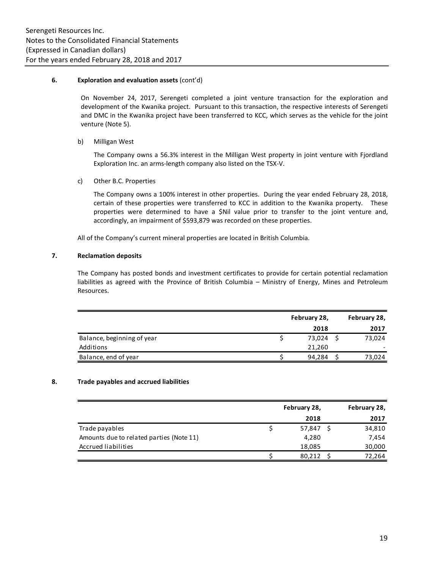# **6. Exploration and evaluation assets** (cont'd)

On November 24, 2017, Serengeti completed a joint venture transaction for the exploration and development of the Kwanika project. Pursuant to this transaction, the respective interests of Serengeti and DMC in the Kwanika project have been transferred to KCC, which serves as the vehicle for the joint venture (Note 5).

# b) Milligan West

The Company owns a 56.3% interest in the Milligan West property in joint venture with Fjordland Exploration Inc. an arms-length company also listed on the TSX-V.

c) Other B.C. Properties

The Company owns a 100% interest in other properties. During the year ended February 28, 2018, certain of these properties were transferred to KCC in addition to the Kwanika property. These properties were determined to have a \$Nil value prior to transfer to the joint venture and, accordingly, an impairment of \$593,879 was recorded on these properties.

All of the Company's current mineral properties are located in British Columbia.

### **7. Reclamation deposits**

The Company has posted bonds and investment certificates to provide for certain potential reclamation liabilities as agreed with the Province of British Columbia – Ministry of Energy, Mines and Petroleum Resources.

|                            | February 28, | February 28, |
|----------------------------|--------------|--------------|
|                            | 2018         | 2017         |
| Balance, beginning of year | 73,024       | 73,024       |
| Additions                  | 21.260       |              |
| Balance, end of year       | 94,284       | 73,024       |

# **8. Trade payables and accrued liabilities**

|                                          | February 28, |        | February 28, |        |
|------------------------------------------|--------------|--------|--------------|--------|
|                                          |              | 2018   |              | 2017   |
| Trade payables                           |              | 57,847 |              | 34,810 |
| Amounts due to related parties (Note 11) |              | 4,280  |              | 7,454  |
| Accrued liabilities                      |              | 18,085 |              | 30,000 |
|                                          |              | 80,212 |              | 72.264 |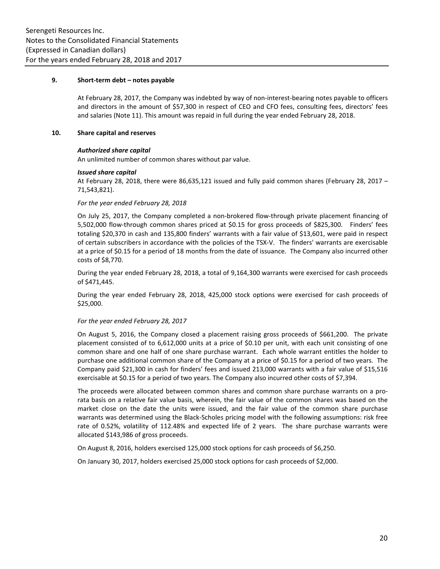### **9. Short-term debt – notes payable**

At February 28, 2017, the Company was indebted by way of non-interest-bearing notes payable to officers and directors in the amount of \$57,300 in respect of CEO and CFO fees, consulting fees, directors' fees and salaries (Note 11). This amount was repaid in full during the year ended February 28, 2018.

# **10. Share capital and reserves**

### *Authorized share capital*

An unlimited number of common shares without par value.

### *Issued share capital*

At February 28, 2018, there were 86,635,121 issued and fully paid common shares (February 28, 2017 – 71,543,821).

### *For the year ended February 28, 2018*

On July 25, 2017, the Company completed a non-brokered flow-through private placement financing of 5,502,000 flow-through common shares priced at \$0.15 for gross proceeds of \$825,300. Finders' fees totaling \$20,370 in cash and 135,800 finders' warrants with a fair value of \$13,601, were paid in respect of certain subscribers in accordance with the policies of the TSX-V. The finders' warrants are exercisable at a price of \$0.15 for a period of 18 months from the date of issuance. The Company also incurred other costs of \$8,770.

During the year ended February 28, 2018, a total of 9,164,300 warrants were exercised for cash proceeds of \$471,445.

During the year ended February 28, 2018, 425,000 stock options were exercised for cash proceeds of \$25,000.

### *For the year ended February 28, 2017*

On August 5, 2016, the Company closed a placement raising gross proceeds of \$661,200. The private placement consisted of to 6,612,000 units at a price of \$0.10 per unit, with each unit consisting of one common share and one half of one share purchase warrant. Each whole warrant entitles the holder to purchase one additional common share of the Company at a price of \$0.15 for a period of two years. The Company paid \$21,300 in cash for finders' fees and issued 213,000 warrants with a fair value of \$15,516 exercisable at \$0.15 for a period of two years. The Company also incurred other costs of \$7,394.

The proceeds were allocated between common shares and common share purchase warrants on a prorata basis on a relative fair value basis, wherein, the fair value of the common shares was based on the market close on the date the units were issued, and the fair value of the common share purchase warrants was determined using the Black-Scholes pricing model with the following assumptions: risk free rate of 0.52%, volatility of 112.48% and expected life of 2 years. The share purchase warrants were allocated \$143,986 of gross proceeds.

On August 8, 2016, holders exercised 125,000 stock options for cash proceeds of \$6,250.

On January 30, 2017, holders exercised 25,000 stock options for cash proceeds of \$2,000.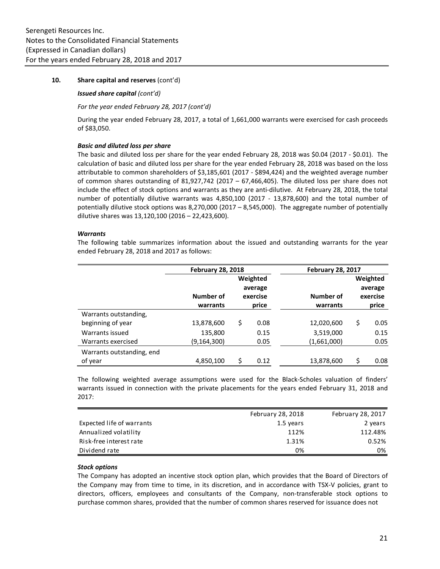# **10. Share capital and reserves** (cont'd)

#### *Issued share capital (cont'd)*

*For the year ended February 28, 2017 (cont'd)*

During the year ended February 28, 2017, a total of 1,661,000 warrants were exercised for cash proceeds of \$83,050.

### *Basic and diluted loss per share*

The basic and diluted loss per share for the year ended February 28, 2018 was \$0.04 (2017 - \$0.01). The calculation of basic and diluted loss per share for the year ended February 28, 2018 was based on the loss attributable to common shareholders of \$3,185,601 (2017 - \$894,424) and the weighted average number of common shares outstanding of 81,927,742 (2017 – 67,466,405). The diluted loss per share does not include the effect of stock options and warrants as they are anti-dilutive. At February 28, 2018, the total number of potentially dilutive warrants was 4,850,100 (2017 - 13,878,600) and the total number of potentially dilutive stock options was 8,270,000 (2017 – 8,545,000). The aggregate number of potentially dilutive shares was 13,120,100 (2016 – 22,423,600).

### *Warrants*

The following table summarizes information about the issued and outstanding warrants for the year ended February 28, 2018 and 2017 as follows:

|                           | <b>February 28, 2018</b> |    | <b>February 28, 2017</b> |             |    |          |
|---------------------------|--------------------------|----|--------------------------|-------------|----|----------|
|                           |                          |    | Weighted                 |             |    | Weighted |
|                           |                          |    | average                  |             |    | average  |
|                           | Number of                |    | exercise                 | Number of   |    | exercise |
|                           | warrants                 |    | price                    | warrants    |    | price    |
| Warrants outstanding,     |                          |    |                          |             |    |          |
| beginning of year         | 13,878,600               | \$ | 0.08                     | 12,020,600  | \$ | 0.05     |
| Warrants issued           | 135,800                  |    | 0.15                     | 3,519,000   |    | 0.15     |
| Warrants exercised        | (9,164,300)              |    | 0.05                     | (1,661,000) |    | 0.05     |
| Warrants outstanding, end |                          |    |                          |             |    |          |
| of year                   | 4,850,100                | \$ | 0.12                     | 13,878,600  | \$ | 0.08     |

The following weighted average assumptions were used for the Black-Scholes valuation of finders' warrants issued in connection with the private placements for the years ended February 31, 2018 and 2017:

|                           | February 28, 2018 | February 28, 2017 |
|---------------------------|-------------------|-------------------|
| Expected life of warrants | 1.5 years         | 2 years           |
| Annualized volatility     | 112%              | 112.48%           |
| Risk-free interest rate   | 1.31%             | 0.52%             |
| Dividend rate             | 0%                | 0%                |

### *Stock options*

The Company has adopted an incentive stock option plan, which provides that the Board of Directors of the Company may from time to time, in its discretion, and in accordance with TSX-V policies, grant to directors, officers, employees and consultants of the Company, non-transferable stock options to purchase common shares, provided that the number of common shares reserved for issuance does not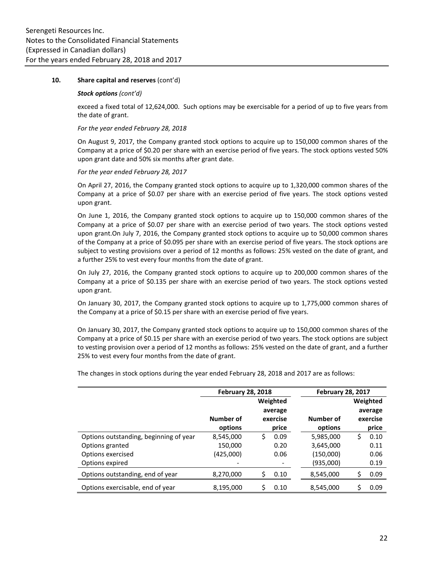### **10. Share capital and reserves** (cont'd)

#### *Stock options (cont'd)*

exceed a fixed total of 12,624,000. Such options may be exercisable for a period of up to five years from the date of grant.

#### *For the year ended February 28, 2018*

On August 9, 2017, the Company granted stock options to acquire up to 150,000 common shares of the Company at a price of \$0.20 per share with an exercise period of five years. The stock options vested 50% upon grant date and 50% six months after grant date.

### *For the year ended February 28, 2017*

On April 27, 2016, the Company granted stock options to acquire up to 1,320,000 common shares of the Company at a price of \$0.07 per share with an exercise period of five years. The stock options vested upon grant.

On June 1, 2016, the Company granted stock options to acquire up to 150,000 common shares of the Company at a price of \$0.07 per share with an exercise period of two years. The stock options vested upon grant.On July 7, 2016, the Company granted stock options to acquire up to 50,000 common shares of the Company at a price of \$0.095 per share with an exercise period of five years. The stock options are subject to vesting provisions over a period of 12 months as follows: 25% vested on the date of grant, and a further 25% to vest every four months from the date of grant.

On July 27, 2016, the Company granted stock options to acquire up to 200,000 common shares of the Company at a price of \$0.135 per share with an exercise period of two years. The stock options vested upon grant.

On January 30, 2017, the Company granted stock options to acquire up to 1,775,000 common shares of the Company at a price of \$0.15 per share with an exercise period of five years.

On January 30, 2017, the Company granted stock options to acquire up to 150,000 common shares of the Company at a price of \$0.15 per share with an exercise period of two years. The stock options are subject to vesting provision over a period of 12 months as follows: 25% vested on the date of grant, and a further 25% to vest every four months from the date of grant.

|                                        | <b>February 28, 2018</b> |    |          |           | <b>February 28, 2017</b> |          |  |  |
|----------------------------------------|--------------------------|----|----------|-----------|--------------------------|----------|--|--|
|                                        |                          |    | Weighted |           |                          | Weighted |  |  |
|                                        |                          |    | average  |           |                          | average  |  |  |
|                                        | Number of                |    | exercise | Number of |                          | exercise |  |  |
|                                        | options                  |    | price    | options   |                          | price    |  |  |
| Options outstanding, beginning of year | 8,545,000                | \$ | 0.09     | 5,985,000 | \$                       | 0.10     |  |  |
| Options granted                        | 150,000                  |    | 0.20     | 3,645,000 |                          | 0.11     |  |  |
| Options exercised                      | (425,000)                |    | 0.06     | (150,000) |                          | 0.06     |  |  |
| Options expired                        |                          |    |          | (935,000) |                          | 0.19     |  |  |
| Options outstanding, end of year       | 8,270,000                | \$ | 0.10     | 8,545,000 | S                        | 0.09     |  |  |
| Options exercisable, end of year       | 8,195,000                |    | 0.10     | 8,545,000 | Ś                        | 0.09     |  |  |

The changes in stock options during the year ended February 28, 2018 and 2017 are as follows: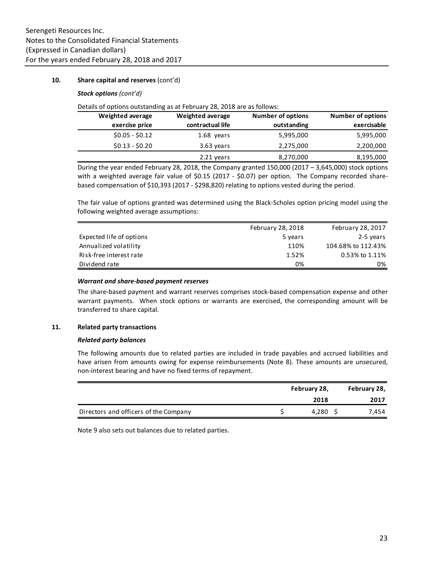# **10. Share capital and reserves** (cont'd)

### *Stock options (cont'd)*

### Details of options outstanding as at February 28, 2018 are as follows:

| Weighted average | <b>Weighted average</b> | <b>Number of options</b> | <b>Number of options</b> |
|------------------|-------------------------|--------------------------|--------------------------|
| exercise price   | contractual life        | outstanding              | exercisable              |
| $$0.05 - $0.12$  | 1.68 years              | 5,995,000                | 5,995,000                |
| $$0.13 - $0.20$  | 3.63 years              | 2,275,000                | 2,200,000                |
|                  | 2.21 years              | 8,270,000                | 8,195,000                |

During the year ended February 28, 2018, the Company granted 150,000 (2017 – 3,645,000) stock options with a weighted average fair value of \$0.15 (2017 - \$0.07) per option. The Company recorded sharebased compensation of \$10,393 (2017 - \$298,820) relating to options vested during the period.

The fair value of options granted was determined using the Black-Scholes option pricing model using the following weighted average assumptions:

|                          | February 28, 2018 | February 28, 2017  |
|--------------------------|-------------------|--------------------|
| Expected life of options | 5 years           | 2-5 years          |
| Annualized volatility    | 110%              | 104.68% to 112.43% |
| Risk-free interest rate  | 1.52%             | 0.53% to 1.11%     |
| Dividend rate            | 0%                | 0%                 |

### *Warrant and share-based payment reserves*

The share-based payment and warrant reserves comprises stock-based compensation expense and other warrant payments. When stock options or warrants are exercised, the corresponding amount will be transferred to share capital.

### **11. Related party transactions**

### *Related party balances*

The following amounts due to related parties are included in trade payables and accrued liabilities and have arisen from amounts owing for expense reimbursements (Note 8). These amounts are unsecured, non-interest bearing and have no fixed terms of repayment.

|                                       | February 28, |       | February 28, |  |
|---------------------------------------|--------------|-------|--------------|--|
|                                       |              | 2018  | 2017         |  |
| Directors and officers of the Company |              | 4.280 | 7.454        |  |

Note 9 also sets out balances due to related parties.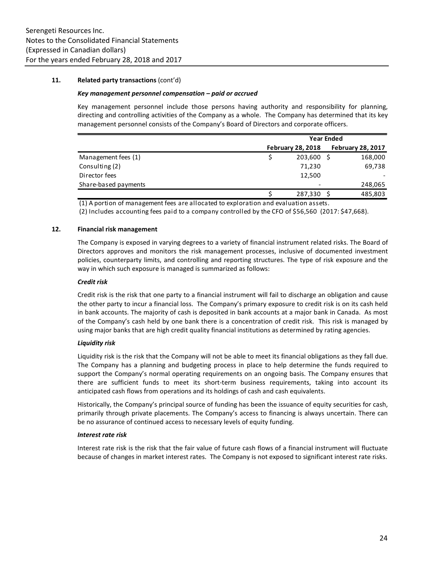# **11. Related party transactions** (cont'd)

### *Key management personnel compensation – paid or accrued*

Key management personnel include those persons having authority and responsibility for planning, directing and controlling activities of the Company as a whole. The Company has determined that its key management personnel consists of the Company's Board of Directors and corporate officers.

|                      | <b>Year Ended</b>        |  |                          |  |  |
|----------------------|--------------------------|--|--------------------------|--|--|
|                      | <b>February 28, 2018</b> |  | <b>February 28, 2017</b> |  |  |
| Management fees (1)  | 203,600                  |  | 168,000                  |  |  |
| Consulting (2)       | 71,230                   |  | 69,738                   |  |  |
| Director fees        | 12,500                   |  |                          |  |  |
| Share-based payments | $\overline{\phantom{a}}$ |  | 248,065                  |  |  |
|                      | 287,330                  |  | 485,803                  |  |  |

(1) A portion of management fees are allocated to exploration and evaluation assets.

(2) Includes accounting fees paid to a company controlled by the CFO of \$56,560 (2017: \$47,668).

### **12. Financial risk management**

The Company is exposed in varying degrees to a variety of financial instrument related risks. The Board of Directors approves and monitors the risk management processes, inclusive of documented investment policies, counterparty limits, and controlling and reporting structures. The type of risk exposure and the way in which such exposure is managed is summarized as follows:

### *Credit risk*

Credit risk is the risk that one party to a financial instrument will fail to discharge an obligation and cause the other party to incur a financial loss. The Company's primary exposure to credit risk is on its cash held in bank accounts. The majority of cash is deposited in bank accounts at a major bank in Canada. As most of the Company's cash held by one bank there is a concentration of credit risk. This risk is managed by using major banks that are high credit quality financial institutions as determined by rating agencies.

### *Liquidity risk*

Liquidity risk is the risk that the Company will not be able to meet its financial obligations as they fall due. The Company has a planning and budgeting process in place to help determine the funds required to support the Company's normal operating requirements on an ongoing basis. The Company ensures that there are sufficient funds to meet its short-term business requirements, taking into account its anticipated cash flows from operations and its holdings of cash and cash equivalents.

Historically, the Company's principal source of funding has been the issuance of equity securities for cash, primarily through private placements. The Company's access to financing is always uncertain. There can be no assurance of continued access to necessary levels of equity funding.

### *Interest rate risk*

Interest rate risk is the risk that the fair value of future cash flows of a financial instrument will fluctuate because of changes in market interest rates. The Company is not exposed to significant interest rate risks.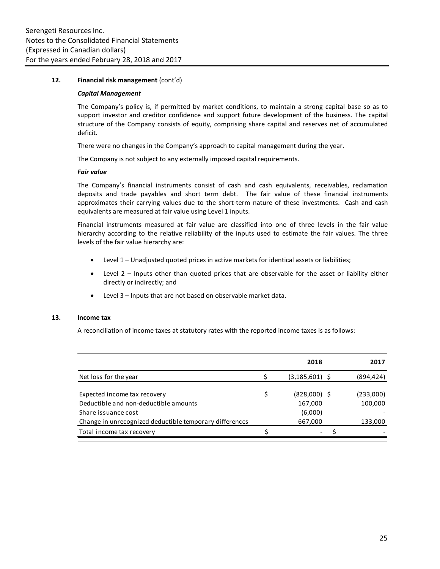# **12. Financial risk management** (cont'd)

#### *Capital Management*

The Company's policy is, if permitted by market conditions, to maintain a strong capital base so as to support investor and creditor confidence and support future development of the business. The capital structure of the Company consists of equity, comprising share capital and reserves net of accumulated deficit.

There were no changes in the Company's approach to capital management during the year.

The Company is not subject to any externally imposed capital requirements.

#### *Fair value*

The Company's financial instruments consist of cash and cash equivalents, receivables, reclamation deposits and trade payables and short term debt. The fair value of these financial instruments approximates their carrying values due to the short-term nature of these investments. Cash and cash equivalents are measured at fair value using Level 1 inputs.

Financial instruments measured at fair value are classified into one of three levels in the fair value hierarchy according to the relative reliability of the inputs used to estimate the fair values. The three levels of the fair value hierarchy are:

- Level 1 Unadjusted quoted prices in active markets for identical assets or liabilities;
- Level 2 Inputs other than quoted prices that are observable for the asset or liability either directly or indirectly; and
- Level 3 Inputs that are not based on observable market data.

### **13. Income tax**

A reconciliation of income taxes at statutory rates with the reported income taxes is as follows:

| 2018<br>$(3, 185, 601)$ \$                      | 2017                            |
|-------------------------------------------------|---------------------------------|
|                                                 |                                 |
|                                                 | (894,424)                       |
| $(828,000)$ \$<br>167,000<br>(6,000)<br>667,000 | (233,000)<br>100,000<br>133,000 |
| $\overline{\phantom{0}}$                        |                                 |
|                                                 |                                 |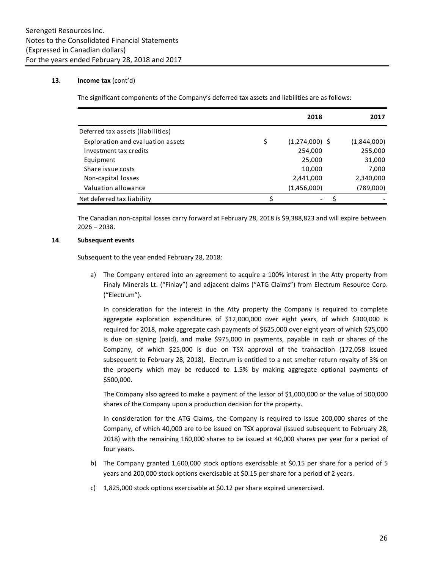# **13. Income tax** (cont'd)

The significant components of the Company's deferred tax assets and liabilities are as follows:

|                                   | 2018                     | 2017        |
|-----------------------------------|--------------------------|-------------|
| Deferred tax assets (liabilities) |                          |             |
| Exploration and evaluation assets | \$<br>$(1,274,000)$ \$   | (1,844,000) |
| Investment tax credits            | 254,000                  | 255,000     |
| Equipment                         | 25,000                   | 31,000      |
| Share issue costs                 | 10,000                   | 7,000       |
| Non-capital losses                | 2,441,000                | 2,340,000   |
| Valuation allowance               | (1,456,000)              | (789,000)   |
| Net deferred tax liability        | $\overline{\phantom{a}}$ |             |

The Canadian non-capital losses carry forward at February 28, 2018 is \$9,388,823 and will expire between 2026 – 2038.

### **14**. **Subsequent events**

Subsequent to the year ended February 28, 2018:

a) The Company entered into an agreement to acquire a 100% interest in the Atty property from Finaly Minerals Lt. ("Finlay") and adjacent claims ("ATG Claims") from Electrum Resource Corp. ("Electrum").

In consideration for the interest in the Atty property the Company is required to complete aggregate exploration expenditures of \$12,000,000 over eight years, of which \$300,000 is required for 2018, make aggregate cash payments of \$625,000 over eight years of which \$25,000 is due on signing (paid), and make \$975,000 in payments, payable in cash or shares of the Company, of which \$25,000 is due on TSX approval of the transaction (172,058 issued subsequent to February 28, 2018). Electrum is entitled to a net smelter return royalty of 3% on the property which may be reduced to 1.5% by making aggregate optional payments of \$500,000.

The Company also agreed to make a payment of the lessor of \$1,000,000 or the value of 500,000 shares of the Company upon a production decision for the property.

In consideration for the ATG Claims, the Company is required to issue 200,000 shares of the Company, of which 40,000 are to be issued on TSX approval (issued subsequent to February 28, 2018) with the remaining 160,000 shares to be issued at 40,000 shares per year for a period of four years.

- b) The Company granted 1,600,000 stock options exercisable at \$0.15 per share for a period of 5 years and 200,000 stock options exercisable at \$0.15 per share for a period of 2 years.
- c) 1,825,000 stock options exercisable at \$0.12 per share expired unexercised.